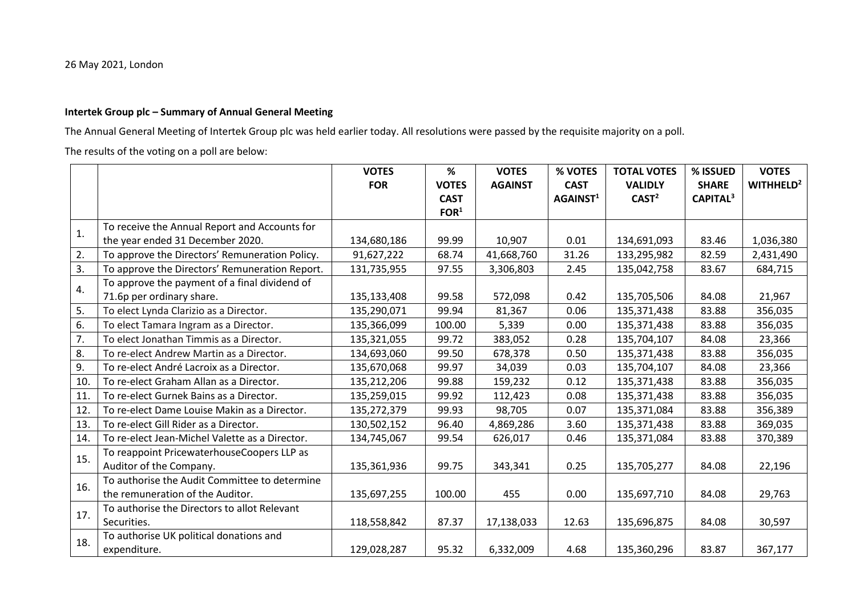## 26 May 2021, London

## **Intertek Group plc – Summary of Annual General Meeting**

The Annual General Meeting of Intertek Group plc was held earlier today. All resolutions were passed by the requisite majority on a poll.

The results of the voting on a poll are below:

|     |                                                | <b>VOTES</b> | $\%$             | <b>VOTES</b>   | % VOTES              | <b>TOTAL VOTES</b> | % ISSUED             | <b>VOTES</b>          |
|-----|------------------------------------------------|--------------|------------------|----------------|----------------------|--------------------|----------------------|-----------------------|
|     |                                                | <b>FOR</b>   | <b>VOTES</b>     | <b>AGAINST</b> | <b>CAST</b>          | <b>VALIDLY</b>     | <b>SHARE</b>         | WITHHELD <sup>2</sup> |
|     |                                                |              | <b>CAST</b>      |                | AGAINST <sup>1</sup> | CAST <sup>2</sup>  | CAPITAL <sup>3</sup> |                       |
|     |                                                |              | FOR <sup>1</sup> |                |                      |                    |                      |                       |
| 1.  | To receive the Annual Report and Accounts for  |              |                  |                |                      |                    |                      |                       |
|     | the year ended 31 December 2020.               | 134,680,186  | 99.99            | 10,907         | 0.01                 | 134,691,093        | 83.46                | 1,036,380             |
| 2.  | To approve the Directors' Remuneration Policy. | 91,627,222   | 68.74            | 41,668,760     | 31.26                | 133,295,982        | 82.59                | 2,431,490             |
| 3.  | To approve the Directors' Remuneration Report. | 131,735,955  | 97.55            | 3,306,803      | 2.45                 | 135,042,758        | 83.67                | 684,715               |
| 4.  | To approve the payment of a final dividend of  |              |                  |                |                      |                    |                      |                       |
|     | 71.6p per ordinary share.                      | 135,133,408  | 99.58            | 572,098        | 0.42                 | 135,705,506        | 84.08                | 21,967                |
| 5.  | To elect Lynda Clarizio as a Director.         | 135,290,071  | 99.94            | 81,367         | 0.06                 | 135,371,438        | 83.88                | 356,035               |
| 6.  | To elect Tamara Ingram as a Director.          | 135,366,099  | 100.00           | 5,339          | 0.00                 | 135,371,438        | 83.88                | 356,035               |
| 7.  | To elect Jonathan Timmis as a Director.        | 135,321,055  | 99.72            | 383,052        | 0.28                 | 135,704,107        | 84.08                | 23,366                |
| 8.  | To re-elect Andrew Martin as a Director.       | 134,693,060  | 99.50            | 678,378        | 0.50                 | 135,371,438        | 83.88                | 356,035               |
| 9.  | To re-elect André Lacroix as a Director.       | 135,670,068  | 99.97            | 34,039         | 0.03                 | 135,704,107        | 84.08                | 23,366                |
| 10. | To re-elect Graham Allan as a Director.        | 135,212,206  | 99.88            | 159,232        | 0.12                 | 135,371,438        | 83.88                | 356,035               |
| 11. | To re-elect Gurnek Bains as a Director.        | 135,259,015  | 99.92            | 112,423        | 0.08                 | 135,371,438        | 83.88                | 356,035               |
| 12. | To re-elect Dame Louise Makin as a Director.   | 135,272,379  | 99.93            | 98,705         | 0.07                 | 135,371,084        | 83.88                | 356,389               |
| 13. | To re-elect Gill Rider as a Director.          | 130,502,152  | 96.40            | 4,869,286      | 3.60                 | 135,371,438        | 83.88                | 369,035               |
| 14. | To re-elect Jean-Michel Valette as a Director. | 134,745,067  | 99.54            | 626,017        | 0.46                 | 135,371,084        | 83.88                | 370,389               |
|     | To reappoint PricewaterhouseCoopers LLP as     |              |                  |                |                      |                    |                      |                       |
| 15. | Auditor of the Company.                        | 135,361,936  | 99.75            | 343,341        | 0.25                 | 135,705,277        | 84.08                | 22,196                |
| 16. | To authorise the Audit Committee to determine  |              |                  |                |                      |                    |                      |                       |
|     | the remuneration of the Auditor.               | 135,697,255  | 100.00           | 455            | 0.00                 | 135,697,710        | 84.08                | 29,763                |
| 17. | To authorise the Directors to allot Relevant   |              |                  |                |                      |                    |                      |                       |
|     | Securities.                                    | 118,558,842  | 87.37            | 17,138,033     | 12.63                | 135,696,875        | 84.08                | 30,597                |
| 18. | To authorise UK political donations and        |              |                  |                |                      |                    |                      |                       |
|     | expenditure.                                   | 129,028,287  | 95.32            | 6,332,009      | 4.68                 | 135,360,296        | 83.87                | 367,177               |